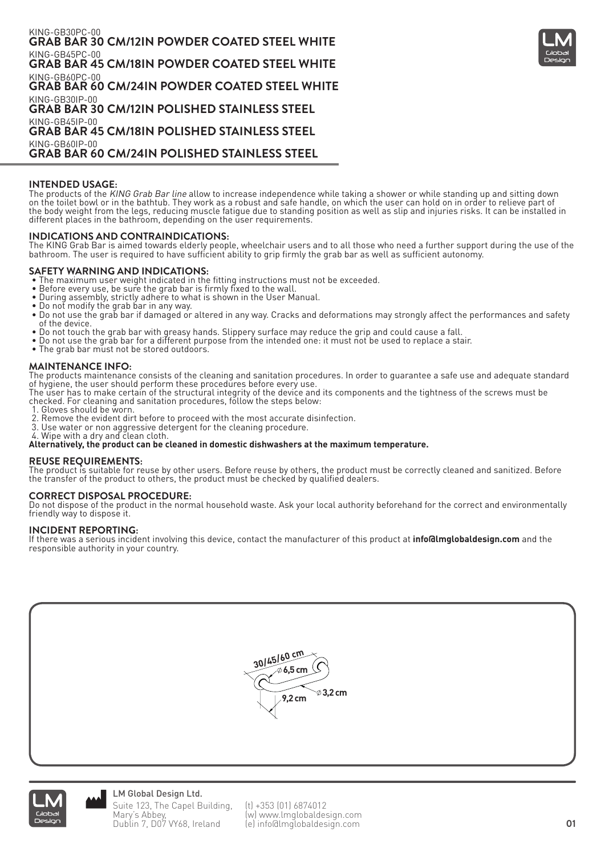## KING-GB30PC-00 **GRAB BAR 30 CM/12IN POWDER COATED STEEL WHITE** KING-GB45PC-00 **GRAB BAR 45 CM/18IN POWDER COATED STEEL WHITE** KING-GB60PC-00 **GRAB BAR 60 CM/24IN POWDER COATED STEEL WHITE** KING-GB30IP-00 **GRAB BAR 30 CM/12IN POLISHED STAINLESS STEEL** KING-GB45IP-00 **GRAB BAR 45 CM/18IN POLISHED STAINLESS STEEL** KING-GB60IP-00 **GRAB BAR 60 CM/24IN POLISHED STAINLESS STEEL**

# **INTENDED USAGE:**

The products of the KING Grab Bar line allow to increase independence while taking a shower or while standing up and sitting down on the toilet bowl or in the bathtub. They work as a robust and safe handle, on which the user can hold on in order to relieve part of the body weight from the legs, reducing muscle fatigue due to standing position as well as slip and injuries risks. It can be installed in different places in the bathroom, depending on the user requirements.

# **INDICATIONS AND CONTRAINDICATIONS:**

The KING Grab Bar is aimed towards elderly people, wheelchair users and to all those who need a further support during the use of the bathroom. The user is required to have sufficient ability to grip firmly the grab bar as well as sufficient autonomy.

### **SAFETY WARNING AND INDICATIONS:**

- The maximum user weight indicated in the fitting instructions must not be exceeded.
- Before every use, be sure the grab bar is firmly fixed to the wall.
- During assembly, strictly adhere to what is shown in the User Manual.
- Do not modify the grab bar in any way.
- Do not use the grab bar if damaged or altered in any way. Cracks and deformations may strongly affect the performances and safety of the device.
- Do not touch the grab bar with greasy hands. Slippery surface may reduce the grip and could cause a fall.
- Do not use the grab bar for a different purpose from the intended one: it must not be used to replace a stair.
- The grab bar must not be stored outdoors.

### **MAINTENANCE INFO:**

The products maintenance consists of the cleaning and sanitation procedures. In order to guarantee a safe use and adequate standard of hygiene, the user should perform these procedures before every use.

The user has to make certain of the structural integrity of the device and its components and the tightness of the screws must be checked. For cleaning and sanitation procedures, follow the steps below:

- 1. Gloves should be worn.
- 2. Remove the evident dirt before to proceed with the most accurate disinfection.
- 3. Use water or non aggressive detergent for the cleaning procedure.

4. Wipe with a dry and clean cloth.

**Alternatively, the product can be cleaned in domestic dishwashers at the maximum temperature.** 

## **REUSE REQUIREMENTS:**

The product is suitable for reuse by other users. Before reuse by others, the product must be correctly cleaned and sanitized. Before the transfer of the product to others, the product must be checked by qualified dealers.

### **CORRECT DISPOSAL PROCEDURE:**

Do not dispose of the product in the normal household waste. Ask your local authority beforehand for the correct and environmentally friendly way to dispose it.

### **INCIDENT REPORTING:**

If there was a serious incident involving this device, contact the manufacturer of this product at **info@lmglobaldesign.com** and the responsible authority in your country.





LM Global Design Ltd. Suite 123, The Capel Building, Mary's Abbey, Dublin 7, D07 VY68, Ireland

(t) +353 (01) 6874012 (w) www.lmglobaldesign.com (e) info@lmglobaldesign.com **01**